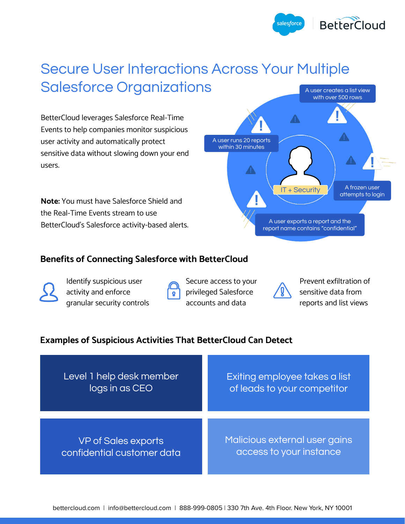

# Secure User Interactions Across Your Multiple Salesforce Organizations

BetterCloud leverages Salesforce Real-Time Events to help companies monitor suspicious user activity and automatically protect sensitive data without slowing down your end users.

**Note:** You must have Salesforce Shield and the Real-Time Events stream to use BetterCloud's Salesforce activity-based alerts.



#### **Benefits of Connecting Salesforce with BetterCloud**



Identify suspicious user activity and enforce granular security controls Q.

Secure access to your privileged Salesforce accounts and data



Prevent exfiltration of sensitive data from reports and list views

# **Examples of Suspicious Activities That BetterCloud Can Detect**

| Level 1 help desk member   | Exiting employee takes a list |
|----------------------------|-------------------------------|
| logs in as CEO             | of leads to your competitor   |
| <b>VP of Sales exports</b> | Malicious external user gains |
| confidential customer data | access to your instance       |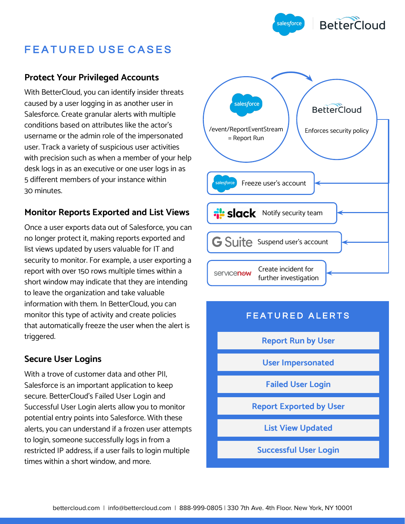

# FEATURED USE CASES

#### **Protect Your Privileged Accounts**

With BetterCloud, you can identify insider threats caused by a user logging in as another user in Salesforce. Create granular alerts with multiple conditions based on attributes like the actor's username or the admin role of the impersonated user. Track a variety of suspicious user activities with precision such as when a member of your help desk logs in as an executive or one user logs in as 5 different members of your instance within 30 minutes.

#### **Monitor Reports Exported and List Views**

Once a user exports data out of Salesforce, you can no longer protect it, making reports exported and list views updated by users valuable for IT and security to monitor. For example, a user exporting a report with over 150 rows multiple times within a short window may indicate that they are intending to leave the organization and take valuable information with them. In BetterCloud, you can monitor this type of activity and create policies that automatically freeze the user when the alert is triggered.

# **Secure User Logins**

With a trove of customer data and other PII, Salesforce is an important application to keep secure. BetterCloud's Failed User Login and Successful User Login alerts allow you to monitor potential entry points into Salesforce. With these alerts, you can understand if a frozen user attempts to login, someone successfully logs in from a restricted IP address, if a user fails to login multiple times within a short window, and more.



# FEATURED ALERTS

**Report Run by User**

**User Impersonated**

**Failed User Login**

**Report Exported by User**

**List View Updated**

**Successful User Login**